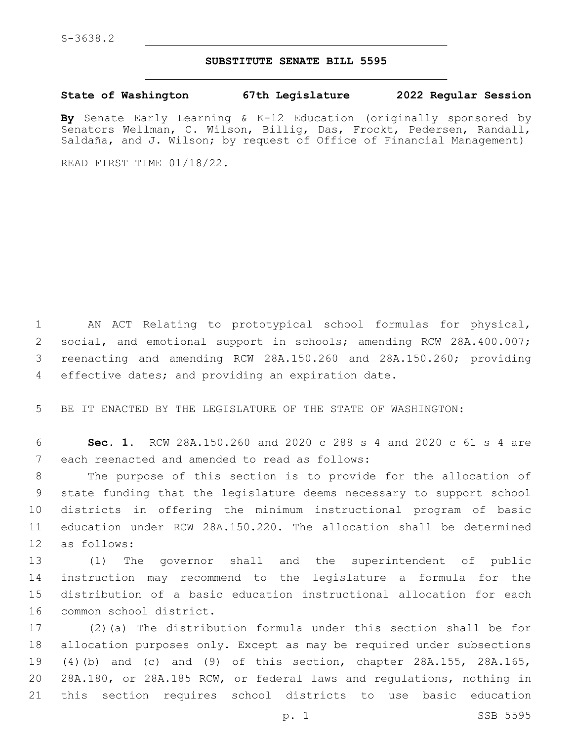## **SUBSTITUTE SENATE BILL 5595**

**State of Washington 67th Legislature 2022 Regular Session**

**By** Senate Early Learning & K-12 Education (originally sponsored by Senators Wellman, C. Wilson, Billig, Das, Frockt, Pedersen, Randall, Saldaña, and J. Wilson; by request of Office of Financial Management)

READ FIRST TIME 01/18/22.

 AN ACT Relating to prototypical school formulas for physical, social, and emotional support in schools; amending RCW 28A.400.007; reenacting and amending RCW 28A.150.260 and 28A.150.260; providing 4 effective dates; and providing an expiration date.

5 BE IT ENACTED BY THE LEGISLATURE OF THE STATE OF WASHINGTON:

6 **Sec. 1.** RCW 28A.150.260 and 2020 c 288 s 4 and 2020 c 61 s 4 are 7 each reenacted and amended to read as follows:

 The purpose of this section is to provide for the allocation of state funding that the legislature deems necessary to support school districts in offering the minimum instructional program of basic education under RCW 28A.150.220. The allocation shall be determined 12 as follows:

 (1) The governor shall and the superintendent of public instruction may recommend to the legislature a formula for the distribution of a basic education instructional allocation for each 16 common school district.

 (2)(a) The distribution formula under this section shall be for allocation purposes only. Except as may be required under subsections (4)(b) and (c) and (9) of this section, chapter 28A.155, 28A.165, 28A.180, or 28A.185 RCW, or federal laws and regulations, nothing in this section requires school districts to use basic education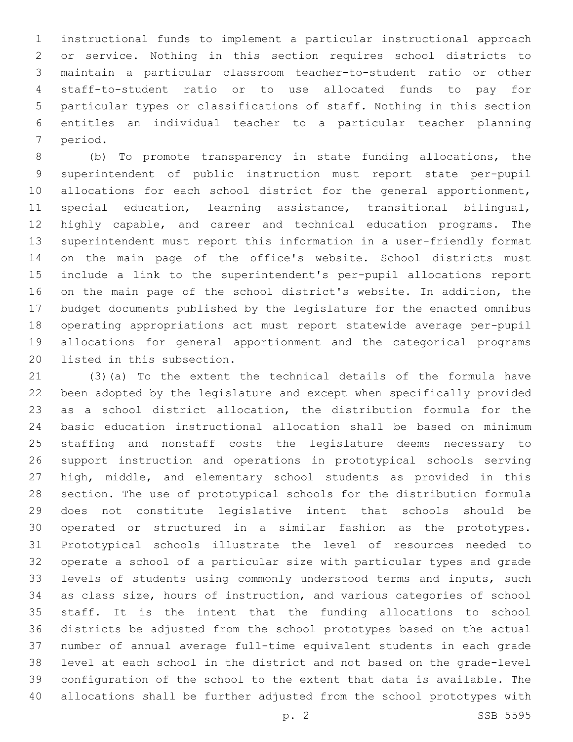instructional funds to implement a particular instructional approach or service. Nothing in this section requires school districts to maintain a particular classroom teacher-to-student ratio or other staff-to-student ratio or to use allocated funds to pay for particular types or classifications of staff. Nothing in this section entitles an individual teacher to a particular teacher planning 7 period.

 (b) To promote transparency in state funding allocations, the superintendent of public instruction must report state per-pupil 10 allocations for each school district for the general apportionment, special education, learning assistance, transitional bilingual, highly capable, and career and technical education programs. The superintendent must report this information in a user-friendly format on the main page of the office's website. School districts must include a link to the superintendent's per-pupil allocations report on the main page of the school district's website. In addition, the budget documents published by the legislature for the enacted omnibus operating appropriations act must report statewide average per-pupil allocations for general apportionment and the categorical programs 20 listed in this subsection.

 (3)(a) To the extent the technical details of the formula have been adopted by the legislature and except when specifically provided as a school district allocation, the distribution formula for the basic education instructional allocation shall be based on minimum staffing and nonstaff costs the legislature deems necessary to support instruction and operations in prototypical schools serving high, middle, and elementary school students as provided in this section. The use of prototypical schools for the distribution formula does not constitute legislative intent that schools should be operated or structured in a similar fashion as the prototypes. Prototypical schools illustrate the level of resources needed to operate a school of a particular size with particular types and grade levels of students using commonly understood terms and inputs, such as class size, hours of instruction, and various categories of school staff. It is the intent that the funding allocations to school districts be adjusted from the school prototypes based on the actual number of annual average full-time equivalent students in each grade level at each school in the district and not based on the grade-level configuration of the school to the extent that data is available. The allocations shall be further adjusted from the school prototypes with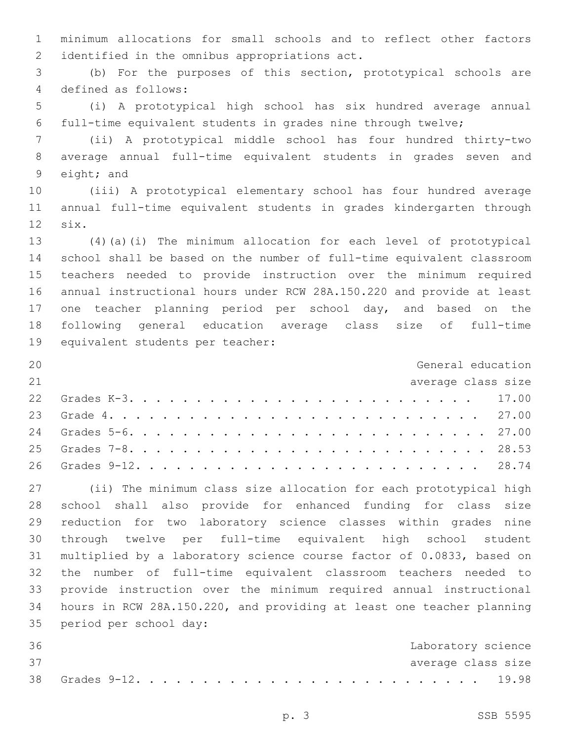minimum allocations for small schools and to reflect other factors 2 identified in the omnibus appropriations act.

 (b) For the purposes of this section, prototypical schools are 4 defined as follows:

 (i) A prototypical high school has six hundred average annual full-time equivalent students in grades nine through twelve;

 (ii) A prototypical middle school has four hundred thirty-two average annual full-time equivalent students in grades seven and 9 eight; and

 (iii) A prototypical elementary school has four hundred average annual full-time equivalent students in grades kindergarten through 12 six.

 (4)(a)(i) The minimum allocation for each level of prototypical school shall be based on the number of full-time equivalent classroom teachers needed to provide instruction over the minimum required annual instructional hours under RCW 28A.150.220 and provide at least 17 one teacher planning period per school day, and based on the following general education average class size of full-time 19 equivalent students per teacher:

| 20 | General education  |  |
|----|--------------------|--|
| 21 | average class size |  |
|    |                    |  |
|    |                    |  |
|    |                    |  |
|    |                    |  |
|    |                    |  |

 (ii) The minimum class size allocation for each prototypical high school shall also provide for enhanced funding for class size reduction for two laboratory science classes within grades nine through twelve per full-time equivalent high school student multiplied by a laboratory science course factor of 0.0833, based on the number of full-time equivalent classroom teachers needed to provide instruction over the minimum required annual instructional hours in RCW 28A.150.220, and providing at least one teacher planning 35 period per school day:

| 36 |  |  |  |  |  |  |  |  |  |  |  |  |  | Laboratory science |
|----|--|--|--|--|--|--|--|--|--|--|--|--|--|--------------------|
| 37 |  |  |  |  |  |  |  |  |  |  |  |  |  | average class size |
|    |  |  |  |  |  |  |  |  |  |  |  |  |  |                    |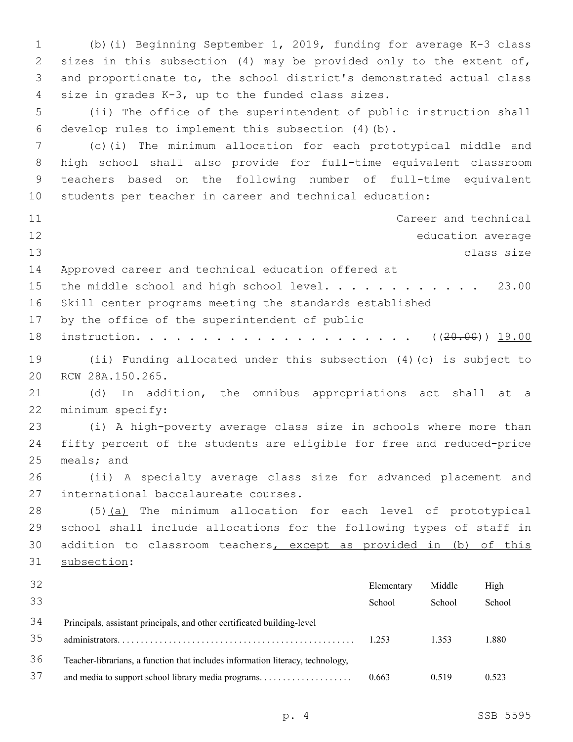(b)(i) Beginning September 1, 2019, funding for average K-3 class sizes in this subsection (4) may be provided only to the extent of, and proportionate to, the school district's demonstrated actual class 4 size in grades K-3, up to the funded class sizes. (ii) The office of the superintendent of public instruction shall 6 develop rules to implement this subsection  $(4)(b)$ . (c)(i) The minimum allocation for each prototypical middle and high school shall also provide for full-time equivalent classroom teachers based on the following number of full-time equivalent students per teacher in career and technical education: Career and technical education average class size Approved career and technical education offered at 15 the middle school and high school level............. 23.00 Skill center programs meeting the standards established 17 by the office of the superintendent of public instruction. . . . . . . . . . . . . . . . . . . . . ((20.00)) 19.00 (ii) Funding allocated under this subsection (4)(c) is subject to 20 RCW 28A.150.265. (d) In addition, the omnibus appropriations act shall at a 22 minimum specify: (i) A high-poverty average class size in schools where more than fifty percent of the students are eligible for free and reduced-price meals; and (ii) A specialty average class size for advanced placement and 27 international baccalaureate courses. (5)(a) The minimum allocation for each level of prototypical school shall include allocations for the following types of staff in addition to classroom teachers, except as provided in (b) of this 31 subsection: Elementary School Middle School High School Principals, assistant principals, and other certificated building-level administrators. . . . . . . . . . . . . . . . . . . . . . . . . . . . . . . . . . . . . . . . . . . . . . . . . . . 1.253 1.353 1.880 Teacher-librarians, a function that includes information literacy, technology, and media to support school library media programs. . . . . . . . . . . . . . . . . . . . 0.663 0.519 0.523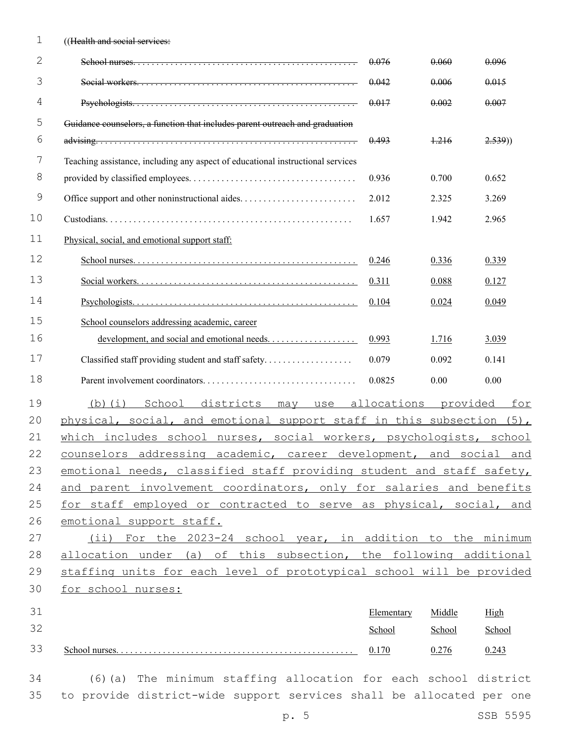| 1           | ((Health and social services:                                                   |             |          |        |
|-------------|---------------------------------------------------------------------------------|-------------|----------|--------|
| 2           |                                                                                 | 0.076       | 0.060    | 0.096  |
| 3           |                                                                                 | 0.042       | 0.006    | 0.015  |
| 4           |                                                                                 | 0.017       | 0.002    | 0.007  |
| 5           | Guidance counselors, a function that includes parent outreach and graduation    |             |          |        |
| 6           |                                                                                 | 0.493       | $+216$   | 2.539) |
| 7           | Teaching assistance, including any aspect of educational instructional services |             |          |        |
| 8           |                                                                                 | 0.936       | 0.700    | 0.652  |
| $\mathsf 9$ |                                                                                 | 2.012       | 2.325    | 3.269  |
| 10          |                                                                                 | 1.657       | 1.942    | 2.965  |
| 11          | Physical, social, and emotional support staff:                                  |             |          |        |
| 12          |                                                                                 | 0.246       | 0.336    | 0.339  |
| 13          |                                                                                 | 0.311       | 0.088    | 0.127  |
| 14          |                                                                                 | 0.104       | 0.024    | 0.049  |
| 15          | School counselors addressing academic, career                                   |             |          |        |
| 16          |                                                                                 | 0.993       | 1.716    | 3.039  |
| 17          | Classified staff providing student and staff safety                             | 0.079       | 0.092    | 0.141  |
| 18          |                                                                                 | 0.0825      | 0.00     | 0.00   |
| 19          | School<br>districts<br>$(b)$ $(i)$<br>may<br>use                                | allocations | provided | for    |
| 20          | physical, social, and emotional support staff in this subsection (5),           |             |          |        |
| 21          | which includes school nurses, social workers, psychologists, school             |             |          |        |
| 22          | counselors addressing academic, career development, and social and              |             |          |        |
| 23          | emotional needs, classified staff providing student and staff safety,           |             |          |        |
| 24          | and parent involvement coordinators, only for salaries and benefits             |             |          |        |
| 25          | for staff employed or contracted to serve as physical, social, and              |             |          |        |
| 26          | emotional support staff.                                                        |             |          |        |
| 27          | (ii) For the 2023-24 school year, in addition to the minimum                    |             |          |        |
| 28          | allocation under (a) of this subsection, the following additional               |             |          |        |
| 29          | staffing units for each level of prototypical school will be provided           |             |          |        |
| 30          | for school nurses:                                                              |             |          |        |
| 31          |                                                                                 | Elementary  | Middle   | High   |
| 32          |                                                                                 | School      | School   | School |
| 33          |                                                                                 | 0.170       | 0.276    | 0.243  |
| 34          | (6) (a) The minimum staffing allocation for each school district                |             |          |        |
| 35          | to provide district-wide support services shall be allocated per one            |             |          |        |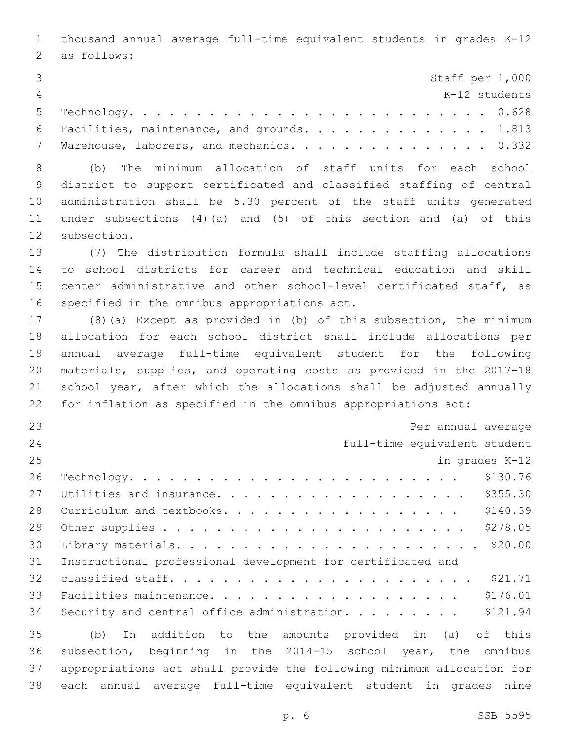thousand annual average full-time equivalent students in grades K-12 2 as follows: Staff per 1,000 K-12 students Technology. . . . . . . . . . . . . . . . . . . . . . . . . . . 0.628 6 Facilities, maintenance, and grounds. . . . . . . . . . . . . 1.813 7 Warehouse, laborers, and mechanics. . . . . . . . . . . . . . 0.332 (b) The minimum allocation of staff units for each school district to support certificated and classified staffing of central administration shall be 5.30 percent of the staff units generated under subsections (4)(a) and (5) of this section and (a) of this 12 subsection. (7) The distribution formula shall include staffing allocations to school districts for career and technical education and skill center administrative and other school-level certificated staff, as 16 specified in the omnibus appropriations act. (8)(a) Except as provided in (b) of this subsection, the minimum allocation for each school district shall include allocations per annual average full-time equivalent student for the following materials, supplies, and operating costs as provided in the 2017-18 school year, after which the allocations shall be adjusted annually for inflation as specified in the omnibus appropriations act: Per annual average full-time equivalent student in grades K-12 Technology. . . . . . . . . . . . . . . . . . . . . . . . . \$130.76 Utilities and insurance. . . . . . . . . . . . . . . . . . . \$355.30 28 Curriculum and textbooks. . . . . . . . . . . . . . . . . . \$140.39 Other supplies . . . . . . . . . . . . . . . . . . . . . . . \$278.05 Library materials. . . . . . . . . . . . . . . . . . . . . . . \$20.00 Instructional professional development for certificated and classified staff. . . . . . . . . . . . . . . . . . . . . . . \$21.71 Facilities maintenance. . . . . . . . . . . . . . . . . . . \$176.01 34 Security and central office administration. . . . . . . . \$121.94 (b) In addition to the amounts provided in (a) of this subsection, beginning in the 2014-15 school year, the omnibus appropriations act shall provide the following minimum allocation for

each annual average full-time equivalent student in grades nine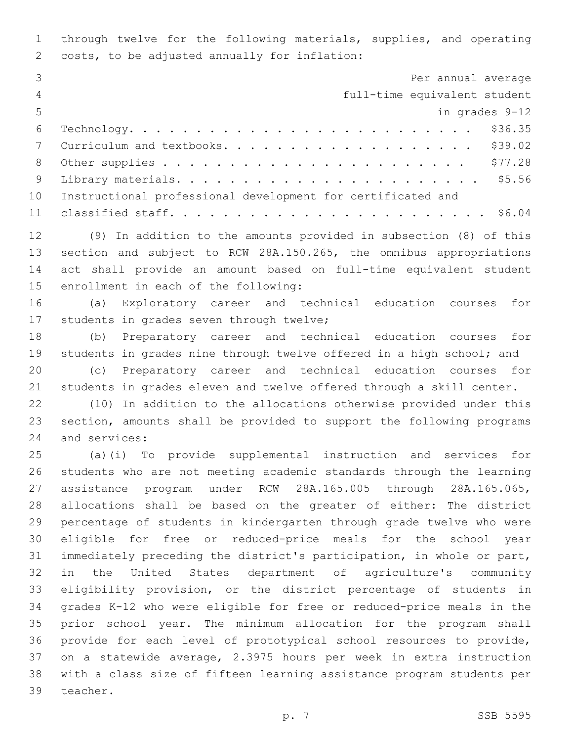through twelve for the following materials, supplies, and operating 2 costs, to be adjusted annually for inflation:

|                | Per annual average                                          |
|----------------|-------------------------------------------------------------|
| $\overline{4}$ | full-time equivalent student                                |
| $-5$           | in grades 9-12                                              |
| 6              |                                                             |
|                |                                                             |
| 8              |                                                             |
| - 9            |                                                             |
| 10             | Instructional professional development for certificated and |
|                |                                                             |

 (9) In addition to the amounts provided in subsection (8) of this section and subject to RCW 28A.150.265, the omnibus appropriations act shall provide an amount based on full-time equivalent student 15 enrollment in each of the following:

 (a) Exploratory career and technical education courses for 17 students in grades seven through twelve;

 (b) Preparatory career and technical education courses for 19 students in grades nine through twelve offered in a high school; and

 (c) Preparatory career and technical education courses for students in grades eleven and twelve offered through a skill center.

 (10) In addition to the allocations otherwise provided under this section, amounts shall be provided to support the following programs 24 and services:

 (a)(i) To provide supplemental instruction and services for students who are not meeting academic standards through the learning assistance program under RCW 28A.165.005 through 28A.165.065, allocations shall be based on the greater of either: The district percentage of students in kindergarten through grade twelve who were eligible for free or reduced-price meals for the school year immediately preceding the district's participation, in whole or part, in the United States department of agriculture's community eligibility provision, or the district percentage of students in grades K-12 who were eligible for free or reduced-price meals in the prior school year. The minimum allocation for the program shall provide for each level of prototypical school resources to provide, on a statewide average, 2.3975 hours per week in extra instruction with a class size of fifteen learning assistance program students per 39 teacher.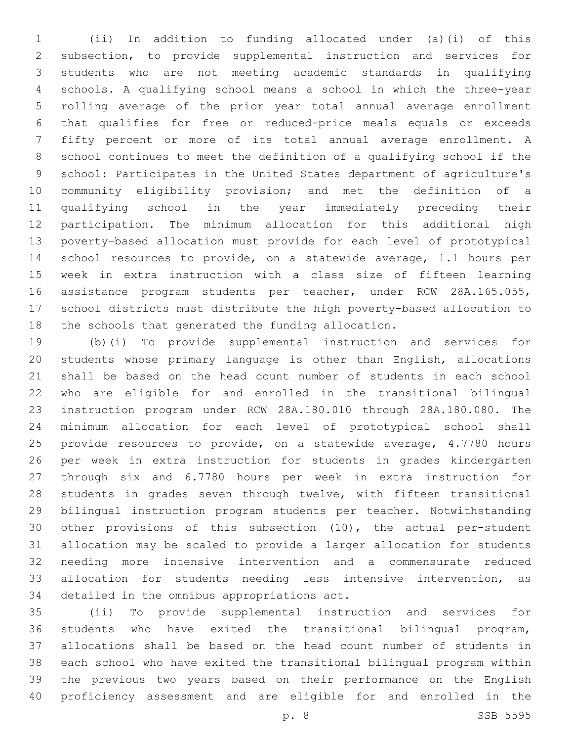(ii) In addition to funding allocated under (a)(i) of this subsection, to provide supplemental instruction and services for students who are not meeting academic standards in qualifying schools. A qualifying school means a school in which the three-year rolling average of the prior year total annual average enrollment that qualifies for free or reduced-price meals equals or exceeds fifty percent or more of its total annual average enrollment. A school continues to meet the definition of a qualifying school if the school: Participates in the United States department of agriculture's community eligibility provision; and met the definition of a qualifying school in the year immediately preceding their participation. The minimum allocation for this additional high poverty-based allocation must provide for each level of prototypical school resources to provide, on a statewide average, 1.1 hours per week in extra instruction with a class size of fifteen learning assistance program students per teacher, under RCW 28A.165.055, school districts must distribute the high poverty-based allocation to the schools that generated the funding allocation.

 (b)(i) To provide supplemental instruction and services for students whose primary language is other than English, allocations shall be based on the head count number of students in each school who are eligible for and enrolled in the transitional bilingual instruction program under RCW 28A.180.010 through 28A.180.080. The minimum allocation for each level of prototypical school shall provide resources to provide, on a statewide average, 4.7780 hours per week in extra instruction for students in grades kindergarten through six and 6.7780 hours per week in extra instruction for students in grades seven through twelve, with fifteen transitional bilingual instruction program students per teacher. Notwithstanding other provisions of this subsection (10), the actual per-student allocation may be scaled to provide a larger allocation for students needing more intensive intervention and a commensurate reduced allocation for students needing less intensive intervention, as 34 detailed in the omnibus appropriations act.

 (ii) To provide supplemental instruction and services for students who have exited the transitional bilingual program, allocations shall be based on the head count number of students in each school who have exited the transitional bilingual program within the previous two years based on their performance on the English proficiency assessment and are eligible for and enrolled in the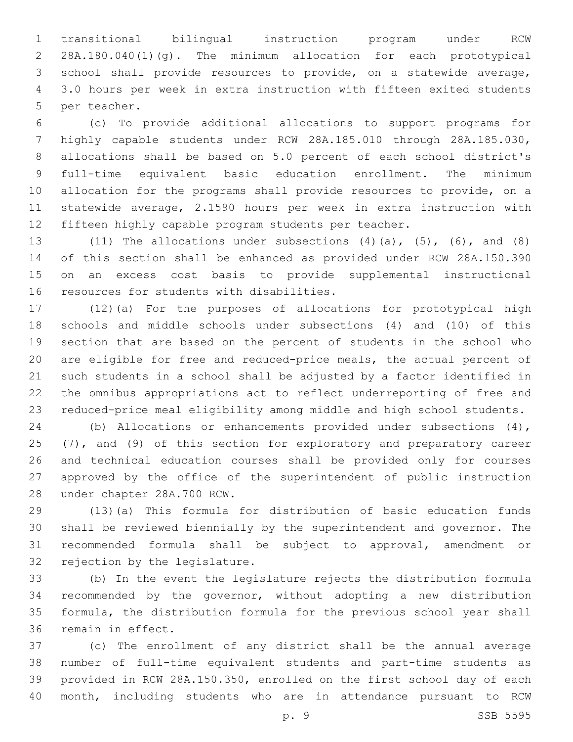transitional bilingual instruction program under RCW 28A.180.040(1)(g). The minimum allocation for each prototypical school shall provide resources to provide, on a statewide average, 3.0 hours per week in extra instruction with fifteen exited students 5 per teacher.

 (c) To provide additional allocations to support programs for highly capable students under RCW 28A.185.010 through 28A.185.030, allocations shall be based on 5.0 percent of each school district's full-time equivalent basic education enrollment. The minimum allocation for the programs shall provide resources to provide, on a statewide average, 2.1590 hours per week in extra instruction with fifteen highly capable program students per teacher.

 (11) The allocations under subsections (4)(a), (5), (6), and (8) of this section shall be enhanced as provided under RCW 28A.150.390 on an excess cost basis to provide supplemental instructional 16 resources for students with disabilities.

 (12)(a) For the purposes of allocations for prototypical high schools and middle schools under subsections (4) and (10) of this section that are based on the percent of students in the school who are eligible for free and reduced-price meals, the actual percent of such students in a school shall be adjusted by a factor identified in the omnibus appropriations act to reflect underreporting of free and reduced-price meal eligibility among middle and high school students.

 (b) Allocations or enhancements provided under subsections (4), (7), and (9) of this section for exploratory and preparatory career and technical education courses shall be provided only for courses approved by the office of the superintendent of public instruction 28 under chapter 28A.700 RCW.

 (13)(a) This formula for distribution of basic education funds shall be reviewed biennially by the superintendent and governor. The recommended formula shall be subject to approval, amendment or 32 rejection by the legislature.

 (b) In the event the legislature rejects the distribution formula recommended by the governor, without adopting a new distribution formula, the distribution formula for the previous school year shall 36 remain in effect.

 (c) The enrollment of any district shall be the annual average number of full-time equivalent students and part-time students as provided in RCW 28A.150.350, enrolled on the first school day of each month, including students who are in attendance pursuant to RCW

p. 9 SSB 5595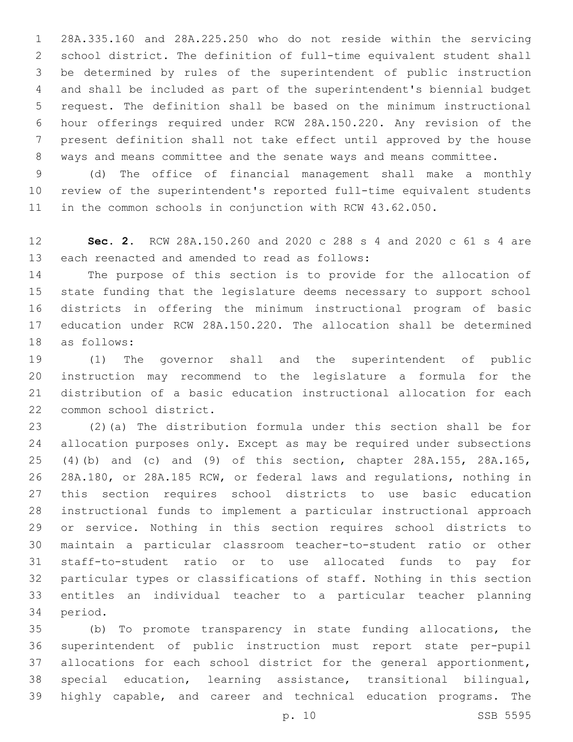28A.335.160 and 28A.225.250 who do not reside within the servicing school district. The definition of full-time equivalent student shall be determined by rules of the superintendent of public instruction and shall be included as part of the superintendent's biennial budget request. The definition shall be based on the minimum instructional hour offerings required under RCW 28A.150.220. Any revision of the present definition shall not take effect until approved by the house ways and means committee and the senate ways and means committee.

 (d) The office of financial management shall make a monthly review of the superintendent's reported full-time equivalent students in the common schools in conjunction with RCW 43.62.050.

 **Sec. 2.** RCW 28A.150.260 and 2020 c 288 s 4 and 2020 c 61 s 4 are 13 each reenacted and amended to read as follows:

 The purpose of this section is to provide for the allocation of state funding that the legislature deems necessary to support school districts in offering the minimum instructional program of basic education under RCW 28A.150.220. The allocation shall be determined 18 as follows:

 (1) The governor shall and the superintendent of public instruction may recommend to the legislature a formula for the distribution of a basic education instructional allocation for each 22 common school district.

 (2)(a) The distribution formula under this section shall be for allocation purposes only. Except as may be required under subsections (4)(b) and (c) and (9) of this section, chapter 28A.155, 28A.165, 28A.180, or 28A.185 RCW, or federal laws and regulations, nothing in this section requires school districts to use basic education instructional funds to implement a particular instructional approach or service. Nothing in this section requires school districts to maintain a particular classroom teacher-to-student ratio or other staff-to-student ratio or to use allocated funds to pay for particular types or classifications of staff. Nothing in this section entitles an individual teacher to a particular teacher planning 34 period.

 (b) To promote transparency in state funding allocations, the superintendent of public instruction must report state per-pupil allocations for each school district for the general apportionment, special education, learning assistance, transitional bilingual, highly capable, and career and technical education programs. The

p. 10 SSB 5595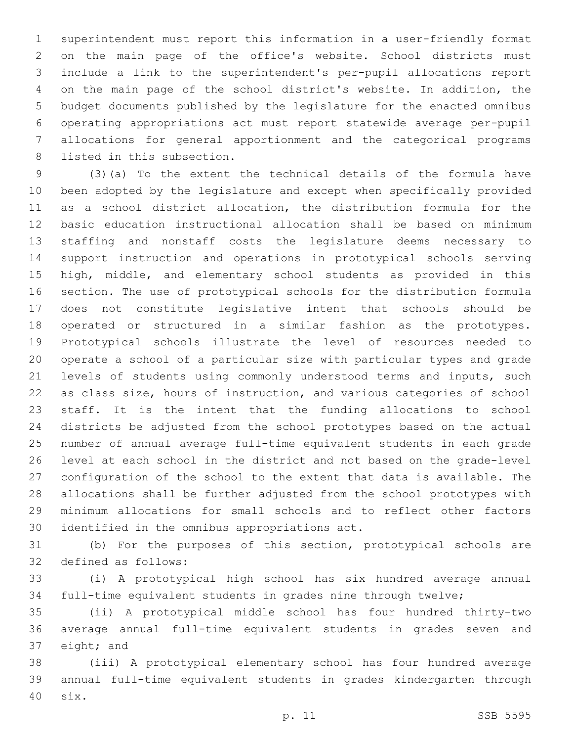superintendent must report this information in a user-friendly format on the main page of the office's website. School districts must include a link to the superintendent's per-pupil allocations report on the main page of the school district's website. In addition, the budget documents published by the legislature for the enacted omnibus operating appropriations act must report statewide average per-pupil allocations for general apportionment and the categorical programs 8 listed in this subsection.

 (3)(a) To the extent the technical details of the formula have been adopted by the legislature and except when specifically provided as a school district allocation, the distribution formula for the basic education instructional allocation shall be based on minimum staffing and nonstaff costs the legislature deems necessary to support instruction and operations in prototypical schools serving high, middle, and elementary school students as provided in this section. The use of prototypical schools for the distribution formula does not constitute legislative intent that schools should be operated or structured in a similar fashion as the prototypes. Prototypical schools illustrate the level of resources needed to operate a school of a particular size with particular types and grade levels of students using commonly understood terms and inputs, such as class size, hours of instruction, and various categories of school staff. It is the intent that the funding allocations to school districts be adjusted from the school prototypes based on the actual number of annual average full-time equivalent students in each grade level at each school in the district and not based on the grade-level configuration of the school to the extent that data is available. The allocations shall be further adjusted from the school prototypes with minimum allocations for small schools and to reflect other factors 30 identified in the omnibus appropriations act.

 (b) For the purposes of this section, prototypical schools are 32 defined as follows:

 (i) A prototypical high school has six hundred average annual full-time equivalent students in grades nine through twelve;

 (ii) A prototypical middle school has four hundred thirty-two average annual full-time equivalent students in grades seven and 37 eight; and

 (iii) A prototypical elementary school has four hundred average annual full-time equivalent students in grades kindergarten through six.40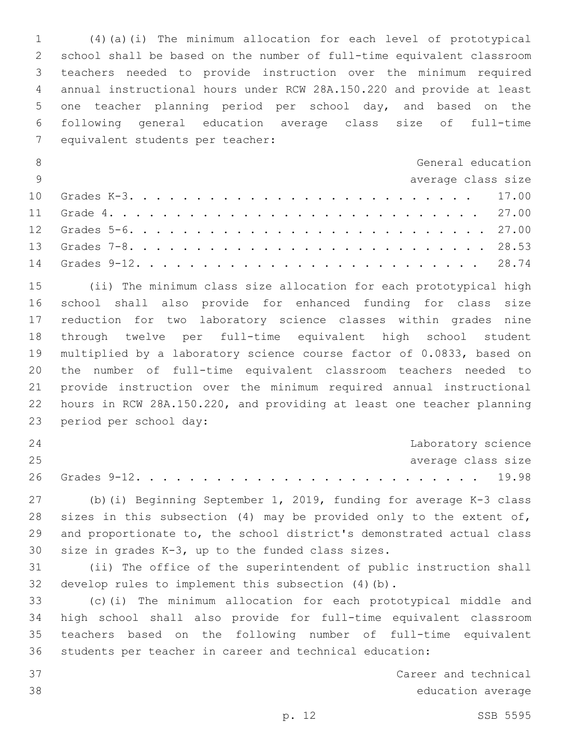(4)(a)(i) The minimum allocation for each level of prototypical school shall be based on the number of full-time equivalent classroom teachers needed to provide instruction over the minimum required annual instructional hours under RCW 28A.150.220 and provide at least one teacher planning period per school day, and based on the following general education average class size of full-time 7 equivalent students per teacher:

| 8              | General education  |  |
|----------------|--------------------|--|
| $\overline{q}$ | average class size |  |
|                |                    |  |
|                |                    |  |
|                |                    |  |
|                |                    |  |
|                |                    |  |

 (ii) The minimum class size allocation for each prototypical high school shall also provide for enhanced funding for class size reduction for two laboratory science classes within grades nine through twelve per full-time equivalent high school student multiplied by a laboratory science course factor of 0.0833, based on the number of full-time equivalent classroom teachers needed to provide instruction over the minimum required annual instructional hours in RCW 28A.150.220, and providing at least one teacher planning 23 period per school day:

| 24 |  |  |  |  |  |  |  |  |  |  | Laboratory science |
|----|--|--|--|--|--|--|--|--|--|--|--------------------|
| 25 |  |  |  |  |  |  |  |  |  |  | average class size |
|    |  |  |  |  |  |  |  |  |  |  |                    |

 (b)(i) Beginning September 1, 2019, funding for average K-3 class 28 sizes in this subsection (4) may be provided only to the extent of, and proportionate to, the school district's demonstrated actual class 30 size in grades  $K-3$ , up to the funded class sizes.

 (ii) The office of the superintendent of public instruction shall develop rules to implement this subsection (4)(b).

 (c)(i) The minimum allocation for each prototypical middle and high school shall also provide for full-time equivalent classroom teachers based on the following number of full-time equivalent students per teacher in career and technical education:

 Career and technical education average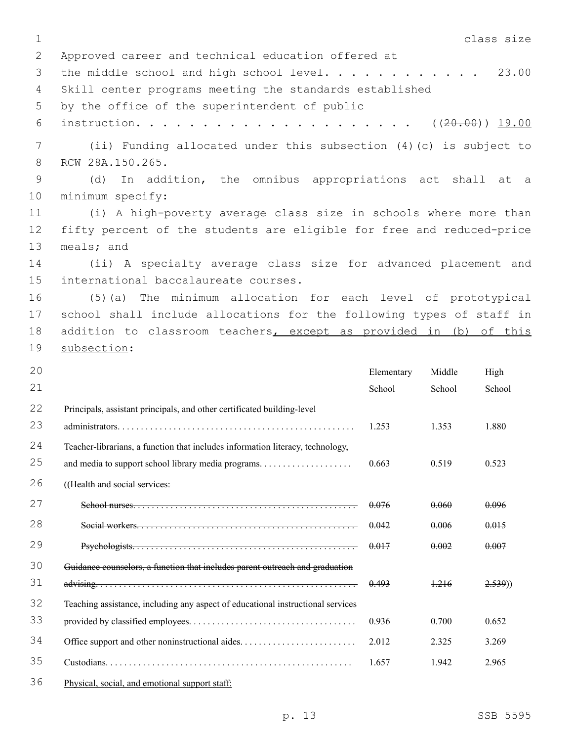1 class size 2 Approved career and technical education offered at 3 the middle school and high school level. . . . . . . . . . . 23.00 4 Skill center programs meeting the standards established 5 by the office of the superintendent of public 6 instruction. . . . . . . . . . . . . . . . . . . . . ((20.00)) 19.00 7 (ii) Funding allocated under this subsection (4)(c) is subject to 8 RCW 28A.150.265. 9 (d) In addition, the omnibus appropriations act shall at a 10 minimum specify: 11 (i) A high-poverty average class size in schools where more than 12 fifty percent of the students are eligible for free and reduced-price 13 meals; and 14 (ii) A specialty average class size for advanced placement and 15 international baccalaureate courses. 16 (5)(a) The minimum allocation for each level of prototypical 17 school shall include allocations for the following types of staff in 18 addition to classroom teachers, except as provided in (b) of this 19 subsection: 20 21 Elementary School Middle School High School 22 23 Principals, assistant principals, and other certificated building-level administrators. . . . . . . . . . . . . . . . . . . . . . . . . . . . . . . . . . . . . . . . . . . . . . . . . . . 1.253 1.353 1.880 24 25 Teacher-librarians, a function that includes information literacy, technology, and media to support school library media programs. . . . . . . . . . . . . . . . . . . . 0.663 0.519 0.523 26 (Health and social services: 27 School nurses. . . . . . . . . . . . . . . . . . . . . . . . . . . . . . . . . . . . . . . . . . . . . . . . 0.076 0.060 0.096 28 Social workers. . . . . . . . . . . . . . . . . . . . . . . . . . . . . . . . . . . . . . . . . . . . . . . 0.042 0.006 0.015 29 Psychologists. . . . . . . . . . . . . . . . . . . . . . . . . . . . . . . . . . . . . . . . . . . . . . . . 0.017 0.002 0.007 30 31 Guidance counselors, a function that includes parent outreach and graduation  $\frac{1.216}{2.539}$   $\frac{1.216}{2.539}$   $\frac{2.539}{2.539}$ 32 33 Teaching assistance, including any aspect of educational instructional services provided by classified employees. . . . . . . . . . . . . . . . . . . . . . . . . . . . . . . . . . . . 0.936 0.700 0.652 34 Office support and other noninstructional aides. . . . . . . . . . . . . . . . . . . . . . . . . 2.012 2.325 3.269 35 Custodians. . . . . . . . . . . . . . . . . . . . . . . . . . . . . . . . . . . . . . . . . . . . . . . . . . . . . 1.657 1.942 2.965 36 Physical, social, and emotional support staff: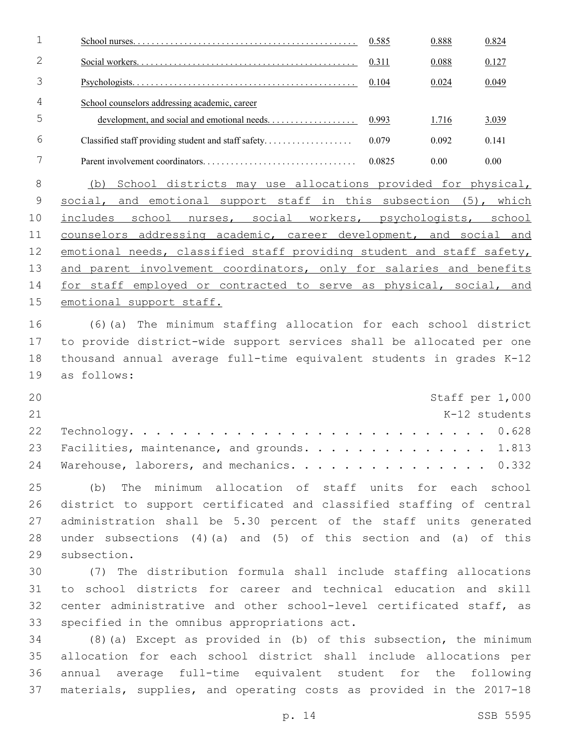|   |                                               | 0.585  | 0.888 | 0.824 |
|---|-----------------------------------------------|--------|-------|-------|
|   |                                               | 0.311  | 0.088 | 0.127 |
|   |                                               | 0.104  | 0.024 | 0.049 |
| 4 | School counselors addressing academic, career |        |       |       |
| 5 |                                               | 0.993  | 1.716 | 3.039 |
| 6 |                                               | 0.079  | 0.092 | 0.141 |
|   |                                               | 0.0825 | 0.00  | 0.00  |

 (b) School districts may use allocations provided for physical, 9 social, and emotional support staff in this subsection (5), which includes school nurses, social workers, psychologists, school 11 counselors addressing academic, career development, and social and 12 emotional needs, classified staff providing student and staff safety, and parent involvement coordinators, only for salaries and benefits 14 for staff employed or contracted to serve as physical, social, and 15 emotional support staff.

 (6)(a) The minimum staffing allocation for each school district to provide district-wide support services shall be allocated per one thousand annual average full-time equivalent students in grades K-12 19 as follows:

| 20 |                                                |  |  | Staff per 1,000 |
|----|------------------------------------------------|--|--|-----------------|
| 21 |                                                |  |  | K-12 students   |
|    |                                                |  |  |                 |
|    | 23 Facilities, maintenance, and grounds. 1.813 |  |  |                 |
|    | 24 Warehouse, laborers, and mechanics. 0.332   |  |  |                 |

 (b) The minimum allocation of staff units for each school district to support certificated and classified staffing of central administration shall be 5.30 percent of the staff units generated under subsections (4)(a) and (5) of this section and (a) of this 29 subsection.

 (7) The distribution formula shall include staffing allocations to school districts for career and technical education and skill center administrative and other school-level certificated staff, as 33 specified in the omnibus appropriations act.

 (8)(a) Except as provided in (b) of this subsection, the minimum allocation for each school district shall include allocations per annual average full-time equivalent student for the following materials, supplies, and operating costs as provided in the 2017-18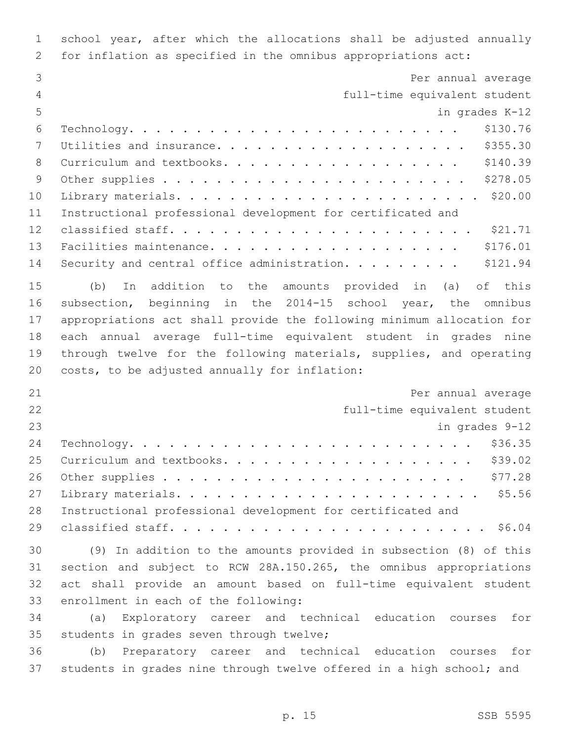| $\mathbf 1$    | school year, after which the allocations shall be adjusted annually   |
|----------------|-----------------------------------------------------------------------|
| 2              | for inflation as specified in the omnibus appropriations act:         |
| 3              | Per annual average                                                    |
| $\overline{4}$ | full-time equivalent student                                          |
| 5              | in grades K-12                                                        |
| 6              | \$130.76                                                              |
| 7              | \$355.30<br>Utilities and insurance.                                  |
| 8              | \$140.39<br>Curriculum and textbooks.                                 |
| 9              | \$278.05                                                              |
| 10             |                                                                       |
| 11             | Instructional professional development for certificated and           |
| 12             |                                                                       |
| 13             | \$176.01                                                              |
| 14             | Security and central office administration.<br>\$121.94               |
| 15             | addition to the amounts provided<br>in<br>(a)<br>of this<br>(b)<br>In |
| 16             | subsection, beginning in the 2014-15 school year, the omnibus         |
| 17             | appropriations act shall provide the following minimum allocation for |
| 18             | each annual average full-time equivalent student in grades nine       |
| 19             | through twelve for the following materials, supplies, and operating   |
| 20             | costs, to be adjusted annually for inflation:                         |
| 21             | Per annual average                                                    |
| 22             | full-time equivalent student                                          |
| 23             | in grades 9-12                                                        |
| 24             | \$36.35<br>$\verb Technology.$                                        |
| 25             | \$39.02<br>Curriculum and textbooks.                                  |
| 26             | \$77.28                                                               |
| 27             |                                                                       |
| 28             | Instructional professional development for certificated and           |
| 29             |                                                                       |
| 30             | (9) In addition to the amounts provided in subsection (8) of this     |
| 31             | section and subject to RCW 28A.150.265, the omnibus appropriations    |
| 32             | act shall provide an amount based on full-time equivalent student     |
| 33             | enrollment in each of the following:                                  |
| 34             | (a)<br>Exploratory career and technical education courses<br>for      |
| 35             | students in grades seven through twelve;                              |
| 36             | Preparatory career and technical education courses<br>for<br>(b)      |
| 37             | students in grades nine through twelve offered in a high school; and  |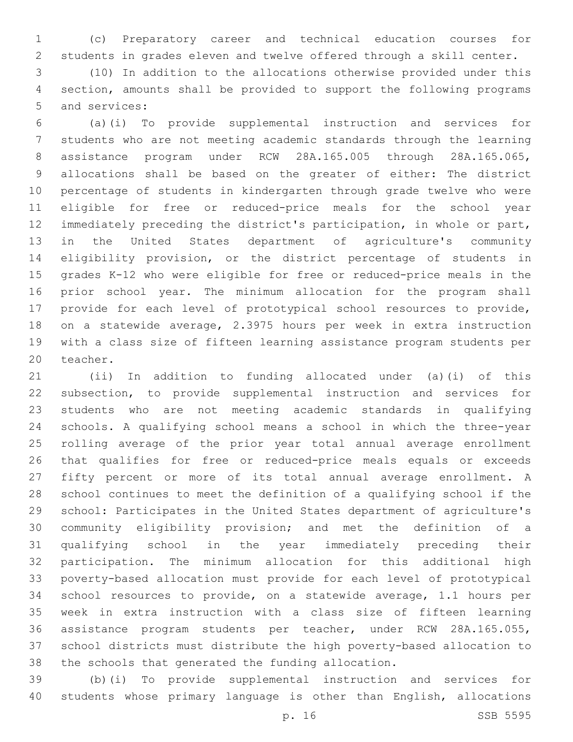(c) Preparatory career and technical education courses for students in grades eleven and twelve offered through a skill center.

 (10) In addition to the allocations otherwise provided under this section, amounts shall be provided to support the following programs 5 and services:

 (a)(i) To provide supplemental instruction and services for students who are not meeting academic standards through the learning assistance program under RCW 28A.165.005 through 28A.165.065, allocations shall be based on the greater of either: The district percentage of students in kindergarten through grade twelve who were eligible for free or reduced-price meals for the school year immediately preceding the district's participation, in whole or part, in the United States department of agriculture's community eligibility provision, or the district percentage of students in grades K-12 who were eligible for free or reduced-price meals in the prior school year. The minimum allocation for the program shall provide for each level of prototypical school resources to provide, on a statewide average, 2.3975 hours per week in extra instruction with a class size of fifteen learning assistance program students per 20 teacher.

 (ii) In addition to funding allocated under (a)(i) of this subsection, to provide supplemental instruction and services for students who are not meeting academic standards in qualifying schools. A qualifying school means a school in which the three-year rolling average of the prior year total annual average enrollment that qualifies for free or reduced-price meals equals or exceeds fifty percent or more of its total annual average enrollment. A school continues to meet the definition of a qualifying school if the school: Participates in the United States department of agriculture's community eligibility provision; and met the definition of a qualifying school in the year immediately preceding their participation. The minimum allocation for this additional high poverty-based allocation must provide for each level of prototypical school resources to provide, on a statewide average, 1.1 hours per week in extra instruction with a class size of fifteen learning assistance program students per teacher, under RCW 28A.165.055, school districts must distribute the high poverty-based allocation to the schools that generated the funding allocation.

 (b)(i) To provide supplemental instruction and services for students whose primary language is other than English, allocations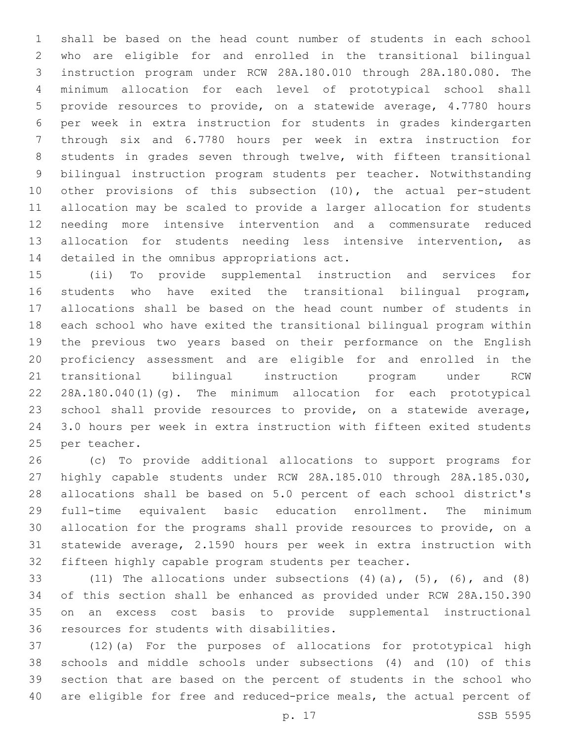shall be based on the head count number of students in each school who are eligible for and enrolled in the transitional bilingual instruction program under RCW 28A.180.010 through 28A.180.080. The minimum allocation for each level of prototypical school shall provide resources to provide, on a statewide average, 4.7780 hours per week in extra instruction for students in grades kindergarten through six and 6.7780 hours per week in extra instruction for students in grades seven through twelve, with fifteen transitional bilingual instruction program students per teacher. Notwithstanding other provisions of this subsection (10), the actual per-student allocation may be scaled to provide a larger allocation for students needing more intensive intervention and a commensurate reduced allocation for students needing less intensive intervention, as 14 detailed in the omnibus appropriations act.

 (ii) To provide supplemental instruction and services for students who have exited the transitional bilingual program, allocations shall be based on the head count number of students in each school who have exited the transitional bilingual program within the previous two years based on their performance on the English proficiency assessment and are eligible for and enrolled in the transitional bilingual instruction program under RCW 28A.180.040(1)(g). The minimum allocation for each prototypical school shall provide resources to provide, on a statewide average, 3.0 hours per week in extra instruction with fifteen exited students 25 per teacher.

 (c) To provide additional allocations to support programs for highly capable students under RCW 28A.185.010 through 28A.185.030, allocations shall be based on 5.0 percent of each school district's full-time equivalent basic education enrollment. The minimum allocation for the programs shall provide resources to provide, on a statewide average, 2.1590 hours per week in extra instruction with fifteen highly capable program students per teacher.

33 (11) The allocations under subsections  $(4)$   $(a)$ ,  $(5)$ ,  $(6)$ , and  $(8)$  of this section shall be enhanced as provided under RCW 28A.150.390 on an excess cost basis to provide supplemental instructional 36 resources for students with disabilities.

 (12)(a) For the purposes of allocations for prototypical high schools and middle schools under subsections (4) and (10) of this section that are based on the percent of students in the school who are eligible for free and reduced-price meals, the actual percent of

p. 17 SSB 5595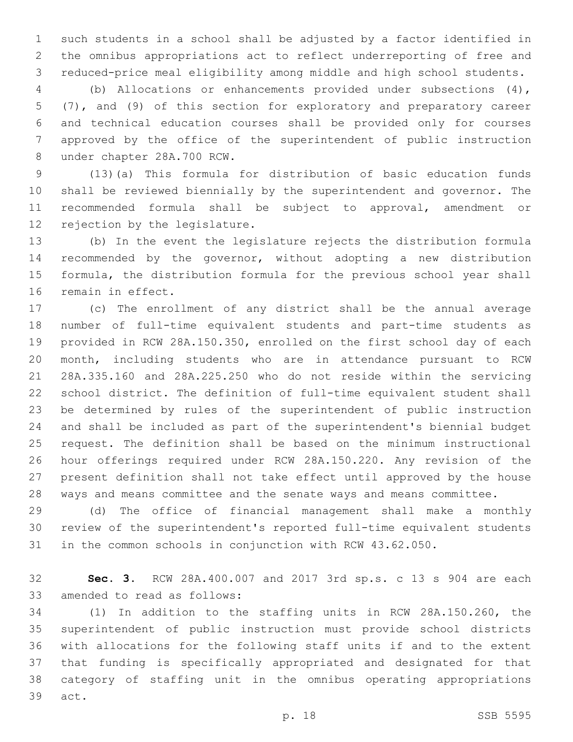such students in a school shall be adjusted by a factor identified in the omnibus appropriations act to reflect underreporting of free and reduced-price meal eligibility among middle and high school students.

 (b) Allocations or enhancements provided under subsections (4), (7), and (9) of this section for exploratory and preparatory career and technical education courses shall be provided only for courses approved by the office of the superintendent of public instruction 8 under chapter 28A.700 RCW.

 (13)(a) This formula for distribution of basic education funds shall be reviewed biennially by the superintendent and governor. The recommended formula shall be subject to approval, amendment or 12 rejection by the legislature.

 (b) In the event the legislature rejects the distribution formula recommended by the governor, without adopting a new distribution formula, the distribution formula for the previous school year shall 16 remain in effect.

 (c) The enrollment of any district shall be the annual average number of full-time equivalent students and part-time students as provided in RCW 28A.150.350, enrolled on the first school day of each month, including students who are in attendance pursuant to RCW 28A.335.160 and 28A.225.250 who do not reside within the servicing school district. The definition of full-time equivalent student shall be determined by rules of the superintendent of public instruction and shall be included as part of the superintendent's biennial budget request. The definition shall be based on the minimum instructional hour offerings required under RCW 28A.150.220. Any revision of the present definition shall not take effect until approved by the house ways and means committee and the senate ways and means committee.

 (d) The office of financial management shall make a monthly review of the superintendent's reported full-time equivalent students in the common schools in conjunction with RCW 43.62.050.

 **Sec. 3.** RCW 28A.400.007 and 2017 3rd sp.s. c 13 s 904 are each 33 amended to read as follows:

 (1) In addition to the staffing units in RCW 28A.150.260, the superintendent of public instruction must provide school districts with allocations for the following staff units if and to the extent that funding is specifically appropriated and designated for that category of staffing unit in the omnibus operating appropriations 39 act.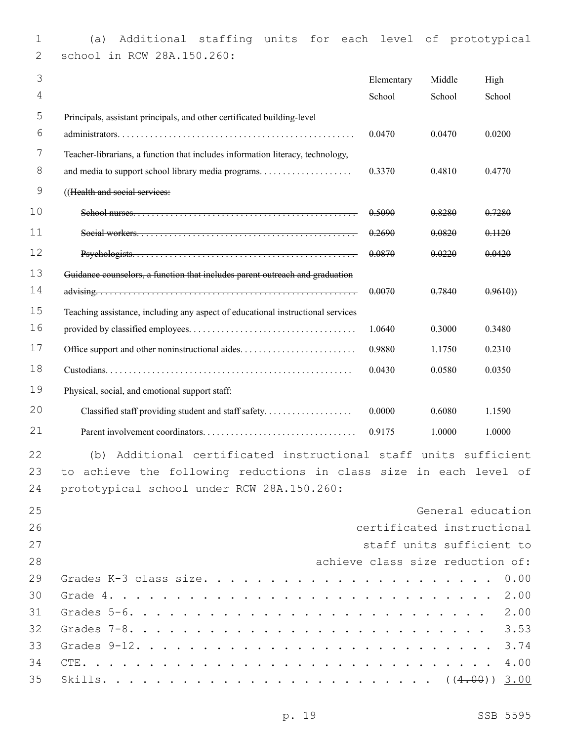(a) Additional staffing units for each level of prototypical 2 school in RCW 28A.150.260:

| 3  |                                                                                 | Elementary                       | Middle | High              |
|----|---------------------------------------------------------------------------------|----------------------------------|--------|-------------------|
| 4  |                                                                                 | School                           | School | School            |
| 5  | Principals, assistant principals, and other certificated building-level         |                                  |        |                   |
| 6  |                                                                                 | 0.0470                           | 0.0470 | 0.0200            |
| 7  | Teacher-librarians, a function that includes information literacy, technology,  |                                  |        |                   |
| 8  |                                                                                 | 0.3370                           | 0.4810 | 0.4770            |
| 9  | ((Health and social services:                                                   |                                  |        |                   |
| 10 |                                                                                 | 0.5090                           | 0.8280 | 0.7280            |
| 11 |                                                                                 | 0.2690                           | 0.0820 | 0.1120            |
| 12 |                                                                                 | 0.0870                           | 0.0220 | 0.0420            |
| 13 | Guidance counselors, a function that includes parent outreach and graduation    |                                  |        |                   |
| 14 |                                                                                 | 0.0070                           | 0.7840 | 0.9610)           |
| 15 | Teaching assistance, including any aspect of educational instructional services |                                  |        |                   |
| 16 |                                                                                 | 1.0640                           | 0.3000 | 0.3480            |
| 17 |                                                                                 | 0.9880                           | 1.1750 | 0.2310            |
| 18 |                                                                                 | 0.0430                           | 0.0580 | 0.0350            |
| 19 | Physical, social, and emotional support staff:                                  |                                  |        |                   |
| 20 | Classified staff providing student and staff safety                             | 0.0000                           | 0.6080 | 1.1590            |
| 21 |                                                                                 | 0.9175                           | 1.0000 | 1.0000            |
| 22 | Additional certificated instructional staff units sufficient<br>(b)             |                                  |        |                   |
| 23 | achieve the following reductions in class size in each level of<br>to.          |                                  |        |                   |
| 24 | prototypical school under RCW 28A.150.260:                                      |                                  |        |                   |
| 25 |                                                                                 |                                  |        | General education |
| 26 |                                                                                 | certificated instructional       |        |                   |
| 27 |                                                                                 | staff units sufficient to        |        |                   |
| 28 |                                                                                 | achieve class size reduction of: |        |                   |
| 29 |                                                                                 |                                  |        |                   |
| 30 |                                                                                 |                                  |        |                   |
| 31 |                                                                                 |                                  |        |                   |